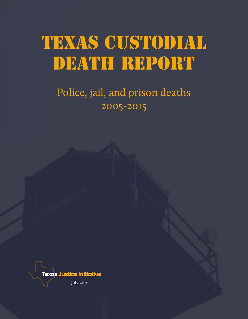## TEXAS CUSTODIAL DEATH REPORT

Police, jail, and prison deaths 2005-2015

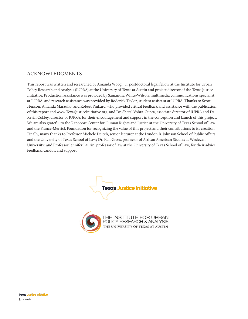#### ACKNOWLEDGMENTS

This report was written and researched by Amanda Woog, JD, postdoctoral legal fellow at the Institute for Urban Policy Research and Analysis (IUPRA) at the University of Texas at Austin and project director of the Texas Justice Initiative. Production assistance was provided by Samantha White-Wilson, multimedia communications specialist at IUPRA, and research assistance was provided by Roderick Taylor, student assistant at IUPRA. Thanks to Scott Henson, Amanda Marzullo, and Robert Pinkard, who provided critical feedback and assistance with the publication of this report and www.TexasJusticeInitiative.org, and Dr. Shetal Vohra-Gupta, associate director of IUPRA and Dr. Kevin Cokley, director of IUPRA, for their encouragement and support in the conception and launch of this project. We are also grateful to the Rapoport Center for Human Rights and Justice at the University of Texas School of Law and the France-Merrick Foundation for recognizing the value of this project and their contributions to its creation. Finally, many thanks to Professor Michele Deitch, senior lecturer at the Lyndon B. Johnson School of Public Affairs and the University of Texas School of Law; Dr. Kali Gross, professor of African American Studies at Wesleyan University; and Professor Jennifer Laurin, professor of law at the University of Texas School of Law, for their advice, feedback, candor, and support.

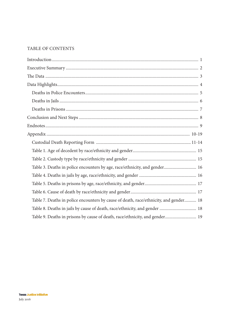#### TABLE OF CONTENTS

| Table 3. Deaths in police encounters by age, race/ethnicity, and gender 16            |
|---------------------------------------------------------------------------------------|
|                                                                                       |
|                                                                                       |
|                                                                                       |
| Table 7. Deaths in police encounters by cause of death, race/ethnicity, and gender 18 |
| Table 8. Deaths in jails by cause of death, race/ethnicity, and gender  18            |
| Table 9. Deaths in prisons by cause of death, race/ethnicity, and gender 19           |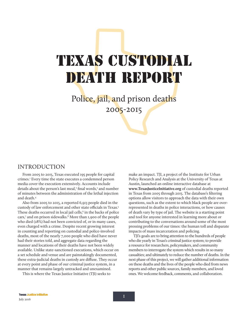# TEXAS CUSTODIAL DEATH REPORT

Police, jail, and prison deaths 2005-2015

#### INTRODUCTION

From 2005 to 2015, Texas executed 195 people for capital crimes.<sup>1</sup> Every time the state executes a condemned person media cover the execution extensively. Accounts include details about the person's last meal,<sup>2</sup> final words,<sup>3</sup> and number of minutes between the administration of the lethal injection and death.4

Also from 2005 to 2015, a reported 6,913 people died in the custody of law enforcement and other state officials in Texas.5 These deaths occurred in local jail cells,<sup>6</sup> in the backs of police cars,<sup>7</sup> and on prison sidewalks.<sup>8</sup> More than 1,900 of the people who died (28%) had not been convicted of, or in many cases, even charged with a crime. Despite recent growing interest in counting and reporting on custodial and police-involved deaths, most of the nearly 7,000 people who died have never had their stories told, and aggregate data regarding the manner and locations of their deaths have not been widely available. Unlike state-sanctioned executions, which occur on a set schedule and venue and are painstakingly documented, these extra-judicial deaths in custody are diffuse. They occur at every point and phase of our criminal justice system, in a manner that remains largely untracked and unexamined.

This is where the Texas Justice Initiative (TJI) seeks to

make an impact. TJI, a project of the Institute for Urban Policy Research and Analysis at the University of Texas at Austin, launched an online interactive database at **www.TexasJusticeInitiative.org** of custodial deaths reported in Texas from 2005 through 2015. The database's filtering options allow visitors to approach the data with their own questions, such as the extent to which black people are overrepresented in deaths in police interactions, or how causes of death vary by type of jail. The website is a starting point and tool for anyone interested in learning more about or contributing to the conversations around some of the most pressing problems of our times: the human toll and disparate impacts of mass incarceration and policing.

TJI's goals are to bring attention to the hundreds of people who die yearly in Texas's criminal justice system; to provide a resource for researchers, policymakers, and community members to interrogate the system which results in so many casualties; and ultimately to reduce the number of deaths. In the next phase of this project, we will gather additional information on these deaths and the lives of the people who died from news reports and other public sources, family members, and loved ones. We welcome feedback, comments, and collaboration.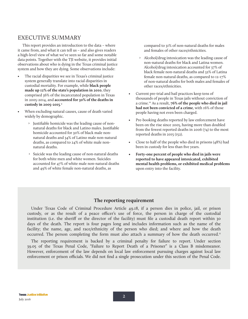#### EXECUTIVE SUMMARY

This report provides an introduction to the data – where it came from, and what it can tell us – and also gives readers a high-level view of what we've seen so far and some notable data points. Together with the TJI website, it provides initial observations about who is dying in the Texas criminal justice system and how they are dying. Some observations include:

- The racial disparities we see in Texas's criminal justice system generally translate into racial disparities in custodial mortality. For example, while **black people made up 12% of the state's population in 2010**, they comprised 36% of the incarcerated population in Texas in 2005-2014, and **accounted for 30% of the deaths in custody in 2005-2015**. 9
- When excluding natural causes, cause of death varied widely by demographic.
	- $\rightarrow$  Justifiable homicide was the leading cause of nonnatural deaths for black and Latino males. Justifiable homicide accounted for 30% of black male nonnatural deaths and 34% of Latino male non-natural deaths, as compared to 24% of white male nonnatural deaths.
	- $\rightarrow$  Suicide was the leading cause of non-natural deaths for both white men and white women. Suicides accounted for 47% of white male non-natural deaths and 49% of white female non-natural deaths, as

compared to 31% of non-natural deaths for males and females of other races/ethnicities.

- Alcohol/drug intoxication was the leading cause of non-natural deaths for black and Latina women. Alcohol/drug intoxication accounted for 37% of black female non-natural deaths and 32% of Latina female non-natural deaths, as compared to 12-17% of non-natural deaths for both males and females of other races/ethnicities.
- Current pre-trial and bail practices keep tens of thousands of people in Texas jails without conviction of a crime.10 As a result, **76% of the people who died in jail had not been convicted of a crime**, with 16% of those people having not even been charged.
- Pre-booking deaths reported by law enforcement have been on the rise since 2005, having more than doubled from the fewest reported deaths in 2006 (74) to the most reported deaths in 2015 (152).
- Close to half of the people who died in prisons (48%) had been in custody for less than five years.
- **• Forty-one percent of people who died in jails were reported to have appeared intoxicated, exhibited mental health problems, or exhibited medical problems** upon entry into the facility.

#### **The reporting requirement**

Under Texas Code of Criminal Procedure Article 49.18, if a person dies in police, jail, or prison custody, or as the result of a peace officer's use of force, the person in charge of the custodial institution (i.e. the sheriff or the director of the facility) must file a custodial death report within 30 days of the death. The report is four pages long and includes information such as the name of the facility; the name, age, and race/ethnicity of the person who died; and where and how the death occurred. The person completing the form must also attach a summary of how the death occurred. $<sup>\pi</sup>$ </sup>

The reporting requirement is backed by a criminal penalty for failure to report. Under section 39.05 of the Texas Penal Code, "Failure to Report Death of a Prisoner" is a Class B misdemeanor. However, enforcement of the law depends on local law enforcement pursuing charges against local law enforcement or prison officials. We did not find a single prosecution under this section of the Penal Code.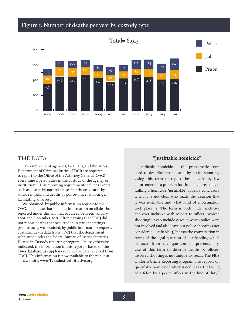#### Figure 1. Number of deaths per year by custody type



#### THE DATA

Law enforcement agencies, local jails, and the Texas Department of Criminal Justice (TDCJ) are required to report to the Office of the Attorney General (OAG) every time a person dies in the custody of the agency or institution.12 This reporting requirement includes events such as deaths by natural causes in prisons, deaths by suicide in jails, and deaths by police-officer shooting in facilitating an arrest.

We obtained, by public information request to the OAG, a database that includes information on all deaths reported under this law that occurred between January 2005 and December 2015. After learning that TDCJ did not report deaths that occurred in in-patient settings prior to 2013, we obtained, by public information request, custodial death data from TDCJ that the department submitted under the federal Bureau of Justice Statistics Deaths in Custody reporting program. Unless otherwise indicated, the information in this report is based on the OAG database, as supplemented by the data received from TDCJ. This information is now available to the public at TJI's website, **www.TexasJusticeInitiative.org**.

#### **"Justifiable homicide"**

Justifiable homicide is the problematic term used to describe most deaths by police shooting. Using this term to report these deaths by law enforcement is a problem for three main reasons. 1) Calling a homicide "justifiable" appears conclusory when it is not clear who made the decision that it was justifiable and what kind of investigation took place. 2) The term is both under inclusive and over inclusive with respect to officer-involved shootings; it can include cases in which police were not involved and also leave out police shootings not considered justifiable. 3) It casts the conversation in terms of the legal question of justifiability, which distracts from the question of preventability. Use of this term to describe deaths by officerinvolved shooting is not unique to Texas. The FBI's Uniform Crime Reporting Program also reports on "justifiable homicide," which it defines as "the killing of a felon by a peace officer in the line of duty."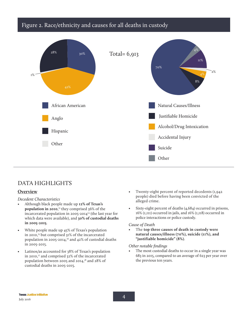## Figure 2. Race/ethnicity and causes for all deaths in custody



### DATA HIGHLIGHTS

#### **Overview**

*Decedent Characteristics*

- Although black people made up **12% of Texas's**  population in 2010,<sup>13</sup> they comprised 36% of the incarcerated population in 2005-201414 (the last year for which data were available), and **30% of custodial deaths in 2005-2015**.
- White people made up 45% of Texas's population in 2010,<sup>15</sup> but comprised  $31\%$  of the incarcerated population in 2005-2014,<sup>16</sup> and 42% of custodial deaths in 2005-2015.
- Latinos/as accounted for 38% of Texas's population in 2010,<sup>17</sup> and comprised 32% of the incarcerated population between 2005 and 2014,18 and 28% of custodial deaths in 2005-2015.
- Twenty-eight percent of reported decedents (1,942 people) died before having been convicted of the alleged crime.
- Sixty-eight percent of deaths (4,684) occurred in prisons, 16% (1,111) occurred in jails, and 16% (1,118) occurred in police interactions or police custody.

#### *Cause of Death*

• The **top three causes of death in custody were natural causes/illness (70%), suicide (11%), and "justifiable homicide" (8%)**.

#### *Other notable findings*

• The most custodial deaths to occur in a single year was 683 in 2015, compared to an average of 623 per year over the previous ten years.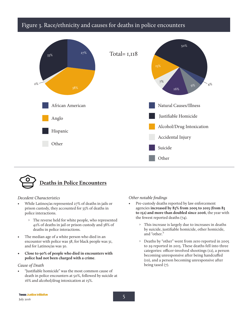## Figure 3. Race/ethnicity and causes for deaths in police encounters





#### *Decedent Characteristics*

- While Latinos/as represented 27% of deaths in jails or prison custody, they accounted for 33% of deaths in police interactions.
	- The reverse held for white people, who represented 42% of deaths in jail or prison custody and 38% of deaths in police interactions.
- The median age of a white person who died in an encounter with police was 38, for black people was 31, and for Latinos/as was 30.
- **• Close to 90% of people who died in encounters with police had not been charged with a crime**.

#### *Cause of Death*

• "Justifiable homicide" was the most common cause of death in police encounters at 50%, followed by suicide at 16% and alcohol/drug intoxication at 15%.

#### *Other notable findings*

- Pre-custody deaths reported by law enforcement agencies **increased by 83% from 2005 to 2015 (from 83 to 152) and more than doubled since 2006**, the year with the fewest reported deaths (74).
	- $\rightarrow$  This increase is largely due to increases in deaths by suicide, justifiable homicide, other homicide, and "other."
	- Deaths by "other" went from zero reported in 2005 to 29 reported in 2015. These deaths fell into three categories: officer-involved shootings (12), a person becoming unresponsive after being handcuffed (10), and a person becoming unresponsive after being tased (7).

#### **Texas Justice Initiative** July 2016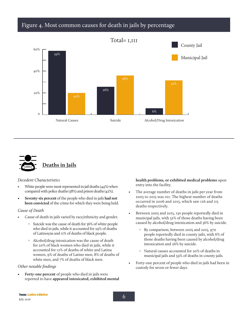## Figure 4. Most common causes for death in jails by percentage





#### *Decedent Characteristics*

- White people were most represented in jail deaths (44%) when compared with police deaths (38%) and prison deaths (42%).
- **• Seventy-six percent** of the people who died in jails **had not been convicted** of the crime for which they were being held.

#### *Cause of Death*

- Cause of death in jails varied by race/ethnicity and gender.
	- $\rightarrow$  Suicide was the cause of death for 36% of white people who died in jails, while it accounted for 29% of deaths of Latinos/as and 11% of deaths of black people.
	- > Alcohol/drug intoxication was the cause of death for 20% of black women who died in jails, while it accounted for 12% of deaths of white and Latina women, 9% of deaths of Latino men, 8% of deaths of white men, and 7% of deaths of black men.

#### *Other notable findings*

**• Forty-one percent** of people who died in jails were reported to have **appeared intoxicated, exhibited mental**  **health problems, or exhibited medical problems** upon entry into the facility.

- The average number of deaths in jails per year from 2005 to 2015 was 101. The highest number of deaths occurred in 2006 and 2015, which saw 126 and 115 deaths respectively.
- Between 2005 and 2015, 130 people reportedly died in municipal jails, with 32% of those deaths having been caused by alcohol/drug intoxication and 36% by suicide.
	- By comparison, between 2005 and 2015, 970 people reportedly died in county jails, with 6% of those deaths having been caused by alcohol/drug intoxication and 26% by suicide.
	- Natural causes accounted for 20% of deaths in municipal jails and 59% of deaths in county jails.
- Forty-one percent of people who died in jails had been in custody for seven or fewer days.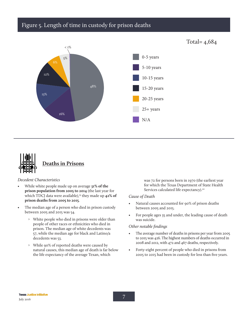## Figure 5. Length of time in custody for prison deaths





#### *Decedent Characteristics*

- While white people made up on average **31% of the prison population from 2005 to 2014** (the last year for which TDCJ data were available),<sup>19</sup> they made up 42% of **prison deaths from 2005 to 2015**.
- The median age of a person who died in prison custody between 2005 and 2015 was 54.
	- White people who died in prisons were older than people of other races or ethnicities who died in prison. The median age of white decedents was 57, while the median age for black and Latino/a decedents was 53.
	- While 90% of reported deaths were caused by natural causes, this median age of death is far below the life expectancy of the average Texan, which

was 72 for persons born in 1970 (the earliest year for which the Texas Department of State Health Services calculated life expectancy).<sup>20</sup>

#### *Cause of Death*

- Natural causes accounted for 90% of prison deaths between 2005 and 2015.
- For people ages 35 and under, the leading cause of death was suicide.

#### *Other notable findings*

- The average number of deaths in prisons per year from 2005 to 2015 was 426. The highest numbers of deaths occurred in 2008 and 2012, with 472 and 467 deaths, respectively.
- Forty-eight percent of people who died in prisons from 2005 to 2015 had been in custody for less than five years.

Total= 4,684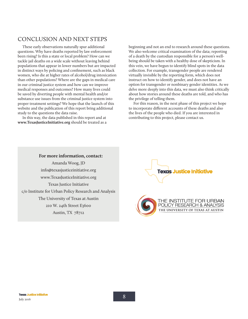#### CONCLUSION AND NEXT STEPS

These early observations naturally spur additional questions. Why have deaths reported by law enforcement been rising? Is this a state or local problem? How can we tackle jail deaths on a wide scale without leaving behind populations that appear in lower numbers but are impacted in distinct ways by policing and confinement, such as black women, who die at higher rates of alcohol/drug intoxication than other populations? Where are the gaps in medical care in our criminal justice system and how can we improve medical responses and outcomes? How many lives could be saved by diverting people with mental health and/or substance use issues from the criminal justice system into proper treatment settings? We hope that the launch of this website and the publication of this report bring additional study to the questions the data raise.

In this way, the data published in this report and at **www.TexasJusticeInitiative.org** should be treated as a

beginning and not an end to research around these questions. We also welcome critical examination of the data; reporting of a death by the custodian responsible for a person's wellbeing should be taken with a healthy dose of skepticism. In this vein, we have begun to identify blind spots in the data collection. For example, transgender people are rendered virtually invisible by the reporting form, which does not instruct on how to identify gender, and does not have an option for transgender or nonbinary gender identities. As we delve more deeply into this data, we must also think critically about how stories around these deaths are told, and who has the privilege of telling them.

For this reason, in the next phase of this project we hope to incorporate different accounts of these deaths and also the lives of the people who died. If you are interested in contributing to this project, please contact us.

**For more information, contact:** Amanda Woog, JD info@texasjusticeinitiative.org www.TexasJusticeInitiative.org Texas Justice Initiative c/o Institute for Urban Policy Research and Analysis The University of Texas at Austin 210 W. 24th Street E3600 Austin, TX 78712

**Texas Justice Initiative** THE INSTITUTE FOR URBAN POLICY RESEARCH & ANALYSIS

THE UNIVERSITY OF TEXAS AT AUSTIN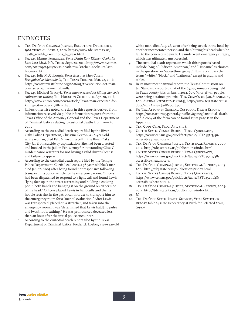### ENDNOTES

- 1. Tex. Dep't of Criminal Justice, Executions December 7, 1982 through April 7, 2016, https://www.tdcj.state.tx.us/ death\_row/dr\_executions\_by\_year.html.
- 2. *See, e.g.,* Manny Fernandez, *Texas Death Row Kitchen Cooks Its Last 'Last Meal,'* N.Y. Times, Sept. 22, 2011, http://www.nytimes. com/2011/09/23/us/texas-death-row-kitchen-cooks-its-lastlast-meal.html.
- 3. *See, e.g.,* Jolie McCullough, *Texas Executes Man Courts Recognized as Mentally Ill*, The Texas Tribune, Mar. 22, 2016, https://www.texastribune.org/2016/03/22/execution-set-mancourts-recognize-mentally-ill/.
- 4. *See, e.g.,* Michael Graczyk, *Texas man executed for killing city code enforcement worker,* The Houston Chronicle, Apr. 20, 2016, http://www.chron.com/news/article/Texas-man-executed-forkilling-city-code-7278849.php.
- 5. Unless otherwise noted, the data in this report is derived from information received via public information request from the Texas Office of the Attorney General and the Texas Department of Criminal Justice relating to custodial deaths from 2005 to 2015.
- 6. According to the custodial death report filed by the River Oaks Police Department, Christine Sexton, a 40-year-old white woman, died Feb. 6, 2013 in a cell in the River Oaks City Jail from suicide by asphyxiation. She had been arrested and booked in the jail on Feb. 2, 2013 for outstanding Class C misdemeanor warrants for not having a valid driver's license and failure to appear.
- 7. According to the custodial death report filed by the Temple Police Department, Curtis Lee Lewis, a 56-year-old black man, died Jan. 10, 2005 after being found nonresponsive following transport in a police vehicle to the emergency room. Officers had been dispatched to respond to a fight call and found Lewis "lying face up in the street screaming and holding a cooking pot in both hands and banging it on the ground on either side of his head." Officers placed Lewis in handcuffs and then a hobble restraint in the patrol car in order to transport him to the emergency room for a "mental evaluation." After Lewis was transported, placed on a stretcher, and taken into the emergency room, it was "determined that Lewis ha[d] no pulse and [was] not breathing." He was pronounced deceased less than an hour after the initial police encounter.
- 8. According to the custodial death report filed by the Texas Department of Criminal Justice, Frederick Loeber, a 49-year-old

white man, died Aug. 26, 2010 after being struck in the head by another incarcerated person and then hitting his head when he fell to the concrete sidewalk. He underwent emergency surgery, which was ultimately unsuccessful.

- 9. The custodial death reports on which this report is based include "Anglo," "African-American," and "Hispanic" as choices in the question on "race/ethnic group." This report uses the terms "white," "black," and "Latino/a," except in graphs and tables.
- 10. In its most recent annual report, the Texas Commission on Jail Standards reported that of the 63,989 inmates being held in Texas county jails on Jan. 1, 2014, 60.55%, or 38,745 people, were being detained pre-trial. TEX. COMM'N ON JAIL STANDARDS, 2014 Annual Report 10-11 (2014), http://www.tcjs.state.tx.us/ docs/2014AnnualJailReport.pdf.
- 11. *See* Tex. Attorney General, Custodial Death Report, https://texasattorneygeneral.gov/files/agency/custodial\_death. pdf. A copy of the form can be found *supra* page 11 in the Appendix.
- 12. Tex. Code Crim. Proc. Art. 49.18.
- 13. United States Census Bureau, Texas Quickfacts, https://www.census.gov/quickfacts/table/PST045215/48/ accessible#headnote-a.
- 14. Tex. Dep't of Criminal Justice, Statistical Reports, 2005- 2014, http://tdcj.state.tx.us/publications/index.html
- 15. United States Census Bureau, Texas Quickfacts, https://www.census.gov/quickfacts/table/PST045215/48/ accessible#headnote-a.
- 16. Tex. Dep't of Criminal Justice, Statistical Reports, 2005- 2014, http://tdcj.state.tx.us/publications/index.html.
- 17. UNITED STATES CENSUS BUREAU, TEXAS QUICKFACTS, https://www.census.gov/quickfacts/table/PST045215/48/ accessible#headnote-a.
- 18. Tex. Dep't of Criminal Justice, Statistical Reports, 2005- 2014, http://tdcj.state.tx.us/publications/index.html.
- 19. *Id.*
- 20. TEX. DEP'T OF STATE HEALTH SERVICES, VITAL STATISTICS Report table 24 (Life Expectancy at Birth for Selected Years)  $(1990)$ .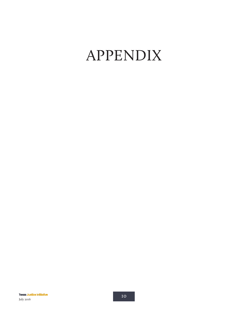## APPENDIX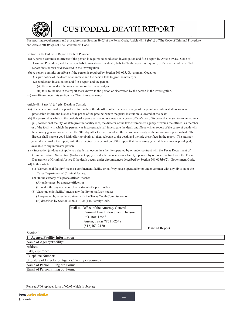

## **CUSTODIAL DEATH REPORT**

For reporting requirements and procedures, see Section 39.05 of the Penal Code, Article 49.18 (b)( c) of The Code of Criminal Procedure and Article 501.055(b) of The Government Code.

Section 39.05 Failure to Report Death of Prisoner:

 (a) A person commits an offense if the person is required to conduct an investigation and file a report by Article 49.18, Code of Criminal Procedure, and the person fails to investigate the death, fails to file the report as required, or fails to include in a filed report facts known or discovered in the investigation.

- (b) A person commits an offense if the person is required by Section 501.055, Government Code, to:
- (1) give notice of the death of an inmate and the person fails to give the notice; or

(2) conduct an investigation and file a report and the person:

(A) fails to conduct the investigation or file the report, or

- (B) fails to include in the report facts known to the person or discovered by the person in the investigation.
- (c) An offense under this section is a Class B misdemeanor.

Article 49.18 (a) (b) (c ) (d) . Death in Custody

- (a) If a person confined in a penal institution dies, the sheriff or other person in charge of the penal institution shall as soon as practicable inform the justice of the peace of the precinct where the penal institution is located of the death.
- (b) If a person dies while in the custody of a peace officer or as a result of a peace officer's use of force or if a person incarcerated in a jail, correctional facility, or state juvenile facility dies, the director of the law enforcement agency of which the officer is a member or of the facility in which the person was incarcerated shall investigate the death and file a written report of the cause of death with the attorney general no later than the 30th day after the date on which the person in custody or the incarcerated person died. The director shall make a good faith effort to obtain all facts relevant to the death and include those facts in the report. The attorney general shall make the report, with the exception of any portion of the report that the attorney general determines is privileged, available to any interested person.
- ( c) Subsection (a) does not apply to a death that occurs in a facility operated by or under contract with the Texas Department of Criminal Justice. Subsection (b) does not apply to a death that occurs in a facility operated by or under contract with the Texas Department of Criminal Justice if the death occurs under circumstances described by Section 501.055(b)(2), Government Code.
- (d) In this article:
	- (1) "Correctional facility" means a confinement facility or halfway house operated by or under contract with any division of the Texas Department of Criminal Justice.
	- (2) "In the custody of a peace officer" means:
		- (A) under arrest by a peace officer; or
		- (B) under the physical control or restraint of a peace officer.
	- (3) "State juvenile facility" means any facility or halfway house:
		- (A) operated by or under contract with the Texas Youth Commission; or
		- (B) described by Section 51.02 (13) or (14), Family Code.

| Mail to: Office of the Attorney General |
|-----------------------------------------|
| Criminal Law Enforcement Division       |
| P.O. Box 12548                          |
| Austin, Texas 78711-2548                |
| $(512)463 - 2170$                       |

Date of Report:

Section I

**1. Agency/Facility Information**

Name of Agency/Facility: Address:

City, Zip Code:

Telephone Number:

Signature of Director of Agency/Facility (Required):

Name of Person Filling out Form: Email of Person Filling out Form:

Revised 5/06 replaces form of 07/03 which is obsolete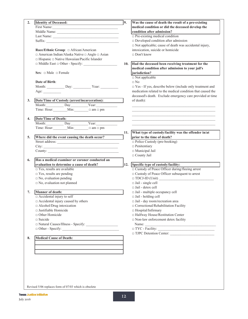| 2.               | <b>Identity of Deceased:</b>                                               | 9.  | Was the cause of death the result of a pre-existing                |
|------------------|----------------------------------------------------------------------------|-----|--------------------------------------------------------------------|
|                  | First Name:                                                                |     | medical condition or did the deceased develop the                  |
|                  |                                                                            |     | condition after admission?                                         |
|                  |                                                                            |     | $\Box$ Pre-existing medical condition                              |
|                  |                                                                            |     | $\square$ Developed condition after admission                      |
|                  |                                                                            |     | $\Box$ Not applicable; cause of death was accidental injury,       |
|                  | Race/Ethnic Group: $\Box$ African/American                                 |     | intoxication, suicide or homicide                                  |
|                  | $\Box$ American Indian/Alaska Native $\Box$ Anglo $\Box$ Asian             |     | $\Box$ Don't know                                                  |
|                  |                                                                            |     |                                                                    |
|                  | $\Box$ Hispanic $\Box$ Native Hawaiian/Pacific Islander                    |     |                                                                    |
|                  | $\Box$ Middle East $\Box$ Other - Specify:                                 | 10. | Had the deceased been receiving treatment for the                  |
|                  |                                                                            |     | medical condition after admission to your jail's                   |
|                  | <b>Sex</b> : $\Box$ Male $\Box$ Female                                     |     | jurisdiction?                                                      |
|                  |                                                                            |     | $\Box$ Not applicable                                              |
|                  | Date of Birth:                                                             |     | $\Box$ No                                                          |
|                  | Month: <u>Day:</u> Day: Year:                                              |     | $\square$ Yes - If yes, describe below (include only treatment and |
|                  | Age: $\qquad \qquad$                                                       |     | medication related to the medical condition that caused the        |
|                  |                                                                            |     | deceased's death. Exclude emergency care provided at time          |
| 3.               | Date/Time of Custody (arrest/incarceration):                               |     | of death):                                                         |
|                  | Month: Day Year:                                                           |     |                                                                    |
|                  |                                                                            |     |                                                                    |
|                  | Time: Hour: $\qquad \qquad$ Min: $\qquad \qquad$ $\Box$ am $\Box$ pm       |     |                                                                    |
|                  |                                                                            |     |                                                                    |
| $\overline{4}$ . | Date/Time of Death:                                                        |     |                                                                    |
|                  | Month: Day Year:                                                           |     |                                                                    |
|                  |                                                                            |     |                                                                    |
|                  |                                                                            | 11. | What type of custody/facility was the offender in/at               |
| 5.               | Where did the event causing the death occur?                               |     | prior to the time of death?                                        |
|                  | Street address:                                                            |     | $\Box$ Police Custody (pre-booking)                                |
|                  |                                                                            |     | $\Box$ Penitentiary                                                |
|                  |                                                                            |     | □ Municipal Jail                                                   |
|                  |                                                                            |     | $\Box$ County Jail                                                 |
| 6.               | Has a medical examiner or coroner conducted an                             |     |                                                                    |
|                  | evaluation to determine a cause of death?                                  | 12. | Specific type of custody/facility:                                 |
|                  |                                                                            |     |                                                                    |
|                  | $\Box$ Yes, results are available                                          |     | □ Custody of Peace Officer during/fleeing arrest                   |
|                  | $\Box$ Yes, results are pending                                            |     | □ Custody of Peace Officer subsequent to arrest                    |
|                  | $\Box$ No, evaluation pending                                              |     | $\Box$ TDCJ-ID (Unit) $\qquad \qquad \qquad$                       |
|                  | $\Box$ No, evaluation not planned                                          |     | $\Box$ Jail - single cell                                          |
|                  |                                                                            |     | $\Box$ Jail - detox cell                                           |
| 7.               | <b>Manner</b> of death:                                                    |     | $\Box$ Jail - multiple occupancy cell                              |
|                  | $\Box$ Accidental injury to self                                           |     | $\Box$ Jail - holding cell                                         |
|                  | $\Box$ Accidental injury caused by others                                  |     | $\Box$ Jail - day room/recreation area                             |
|                  | $\Box$ Alcohol/Drug intoxication                                           |     | $\Box$ Correctional/Rehabilitation Facility                        |
|                  | $\Box$ Justifiable Homicide                                                |     | □ Hospital/Infirmary                                               |
|                  | $\Box$ Other Homicide                                                      |     | □ Halfway House/Restitution Center                                 |
|                  |                                                                            |     | $\Box$ Non-law enforcement detox facility                          |
|                  | $\square$ Suicide                                                          |     |                                                                    |
|                  |                                                                            |     | Name:                                                              |
|                  |                                                                            |     | $\Box$ TYC - Facility: $\Box$                                      |
|                  | the control of the control of the control of the control of the control of |     |                                                                    |
| 8.               | <b>Medical Cause of Death:</b>                                             |     |                                                                    |
|                  |                                                                            |     |                                                                    |
|                  |                                                                            |     |                                                                    |
|                  |                                                                            |     |                                                                    |
|                  |                                                                            |     |                                                                    |
|                  |                                                                            |     |                                                                    |
|                  |                                                                            |     |                                                                    |
|                  |                                                                            |     |                                                                    |
|                  |                                                                            |     |                                                                    |
|                  |                                                                            |     |                                                                    |
|                  |                                                                            |     |                                                                    |
|                  |                                                                            |     |                                                                    |
|                  | Revised 5/06 replaces form of 07/03 which is obsolete                      |     |                                                                    |
|                  |                                                                            |     |                                                                    |

**Texas Justice Initiative** July 2016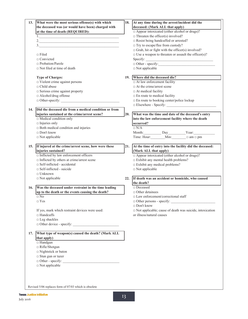| What were the most serious offense(s) with which<br>13.                  | 18. | At any time during the arrest/incident did the                                     |
|--------------------------------------------------------------------------|-----|------------------------------------------------------------------------------------|
| the deceased was (or would have been) charged with                       |     | deceased: (Mark ALL that apply)                                                    |
| at the time of death (REQUIRED):                                         |     | $\Box$ Appear intoxicated (either alcohol or drugs)?                               |
|                                                                          |     | $\Box$ Threaten the officer(s) involved?                                           |
| 2.                                                                       |     | □ Resist being handcuffed or arrested?                                             |
|                                                                          |     | $\Box$ Try to escape/flee from custody?                                            |
|                                                                          |     | $\Box$ Grab, hit or fight with the officer(s) involved?                            |
|                                                                          |     |                                                                                    |
| $\Box$ Filed                                                             |     | $\Box$ Use a weapon to threaten or assault the officer(s)?                         |
| $\Box$ Convicted                                                         |     |                                                                                    |
| $\Box$ Probation/Parole                                                  |     | $\Box$ Other - specify:                                                            |
| $\Box$ Not filed at time of death                                        |     | $\Box$ Not applicable                                                              |
| <b>Type of Charges:</b>                                                  | 19. | Where did the deceased die?                                                        |
| $\Box$ Violent crime against persons                                     |     | $\Box$ At law enforcement facility                                                 |
| $\Box$ Child abuse                                                       |     | $\Box$ At the crime/arrest scene                                                   |
| $\Box$ Serious crime against property                                    |     | $\Box$ At medical facility                                                         |
|                                                                          |     |                                                                                    |
| □ Alcohol/drug offense                                                   |     | $\square$ En route to medical facility                                             |
| $\Box$ Other-specify:                                                    |     | $\square$ En route to booking center/police lockup                                 |
| Did the deceased die from a medical condition or from<br>14.             |     |                                                                                    |
| injuries sustained at the crime/arrest scene?                            | 20. | What was the time and date of the deceased's entry                                 |
| $\Box$ Medical condition only                                            |     | into the law enforcement facility where the death                                  |
| $\square$ Injuries only                                                  |     | occurred?                                                                          |
| $\Box$ Both medical condition and injuries                               |     | $\Box$ N/A                                                                         |
| $\Box$ Don't know                                                        |     |                                                                                    |
|                                                                          |     | Month: $\frac{Day}{Time: How: ____________ Min: ____________ } Year: ____________$ |
| $\Box$ Not applicable                                                    |     |                                                                                    |
| If injured at the crime/arrest scene, how were these<br>15.              | 21. | At the time of entry into the facility did the deceased:                           |
| injuries sustained?                                                      |     | (Mark ALL that apply)                                                              |
| □ Inflicted by law enforcement officers                                  |     | $\Box$ Appear intoxicated (either alcohol or drugs)?                               |
| □ Inflicted by others at crime/arrest scene                              |     | $\square$ Exhibit any mental health problems?                                      |
| $\Box$ Self-inflicted - accidental                                       |     | Exhibit any medical problems?                                                      |
| $\Box$ Self-inflicted - suicide                                          |     | $\Box$ Not applicable                                                              |
| $\Box$ Unknown                                                           |     |                                                                                    |
| $\Box$ Not applicable                                                    | 22. | If death was an accident or homicide, who caused                                   |
|                                                                          |     | the death?                                                                         |
| Was the deceased under restraint in the time leading<br>16.              |     | $\square$ Deceased                                                                 |
| up to the death or the events causing the death?                         |     | $\Box$ Other detainees                                                             |
| $\Box$ No                                                                |     | □ Law enforcement/correctional staff                                               |
| $\Box$ Yes                                                               |     | $\Box$ Other persons - specify:                                                    |
|                                                                          |     | $\Box$ Don't know                                                                  |
| If yes, mark which restraint devices were used:                          |     | □ Not applicable; cause of death was suicide, intoxication                         |
| $\Box$ Handcuffs                                                         |     | or illness/natural causes                                                          |
| $\Box$ Leg shackles                                                      |     |                                                                                    |
|                                                                          |     |                                                                                    |
|                                                                          |     |                                                                                    |
| What type of weapon(s) caused the death? (Mark ALL<br>17.<br>that apply) |     |                                                                                    |
|                                                                          |     |                                                                                    |
| $\Box$ Handgun                                                           |     |                                                                                    |
| $\Box$ Rifle/Shotgun                                                     |     |                                                                                    |
| $\Box$ Nightstick or baton                                               |     |                                                                                    |
| $\Box$ Stun gun or tazer                                                 |     |                                                                                    |
| $\Box$ Other - specify:                                                  |     |                                                                                    |
| $\Box$ Not applicable                                                    |     |                                                                                    |
|                                                                          |     |                                                                                    |
|                                                                          |     |                                                                                    |
|                                                                          |     |                                                                                    |
| Revised 5/06 replaces form of 07/03 which is obsolete                    |     |                                                                                    |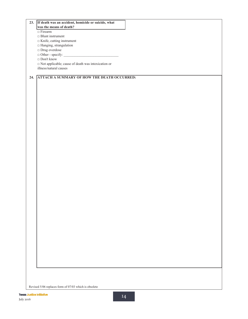| 23.       | If death was an accident, homicide or suicide, what                 |
|-----------|---------------------------------------------------------------------|
|           | was the means of death?                                             |
|           | $\Box$<br><br>Firearm                                               |
|           | $\Box$<br>Blunt instrument                                          |
|           | $\Box$ Knife, cutting instrument                                    |
|           |                                                                     |
|           | $\Box$ Hanging, strangulation                                       |
|           | $\hfill \Box$<br>Drug overdose                                      |
|           |                                                                     |
|           | $\Box$ Don't know                                                   |
|           |                                                                     |
|           | $\hfill \Box$<br>Not applicable; cause of death was intoxication or |
|           | illness/natural causes                                              |
|           |                                                                     |
| 24.       | <b>ATTACH A SUMMARY OF HOW THE DEATH OCCURRED:</b>                  |
|           |                                                                     |
|           |                                                                     |
|           |                                                                     |
|           |                                                                     |
|           |                                                                     |
|           |                                                                     |
|           |                                                                     |
|           |                                                                     |
|           |                                                                     |
|           |                                                                     |
|           |                                                                     |
|           |                                                                     |
|           |                                                                     |
|           |                                                                     |
|           |                                                                     |
|           |                                                                     |
|           |                                                                     |
|           |                                                                     |
|           |                                                                     |
|           |                                                                     |
|           |                                                                     |
|           |                                                                     |
|           |                                                                     |
|           |                                                                     |
|           |                                                                     |
|           |                                                                     |
|           |                                                                     |
|           |                                                                     |
|           |                                                                     |
|           |                                                                     |
|           |                                                                     |
|           |                                                                     |
|           |                                                                     |
|           |                                                                     |
|           |                                                                     |
|           |                                                                     |
|           |                                                                     |
|           |                                                                     |
|           |                                                                     |
|           |                                                                     |
|           |                                                                     |
|           |                                                                     |
|           |                                                                     |
|           |                                                                     |
|           |                                                                     |
|           |                                                                     |
|           |                                                                     |
|           |                                                                     |
|           |                                                                     |
|           |                                                                     |
|           | Revised 5/06 replaces form of 07/03 which is obsolete               |
|           | <b>Texas Justice Initiative</b>                                     |
| July 2016 | <b>I4</b>                                                           |
|           |                                                                     |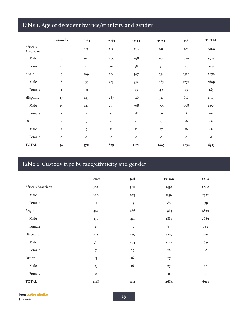## Table 1. Age of decedent by race/ethnicity and gender

|                     | 17 & under              | $18 - 24$    | $25 - 34$      | $35 - 44$   | $45 - 54$   | $55+$       | <b>TOTAL</b> |
|---------------------|-------------------------|--------------|----------------|-------------|-------------|-------------|--------------|
| African<br>American | $\boldsymbol{6}$        | II3          | 285            | 336         | 615         | 702         | 2060         |
| Male                | $\boldsymbol{6}$        | 107          | 265            | 298         | 563         | 679         | 1921         |
| Female              | $\mathbf 0$             | 6            | $20\,$         | 38          | 52          | 23          | 139          |
| Anglo               | $\overline{9}$          | 109          | 294            | 397         | 734         | 1322        | 2872         |
| Male                | $\boldsymbol{6}$        | 99           | 263            | 352         | 685         | 1277        | 2689         |
| Female              | $\overline{\mathbf{3}}$ | ${\rm IO}$   | 3I             | 45          | 49          | 45          | 183          |
| Hispanic            | 17                      | 143          | 287            | 326         | 52I         | 616         | 1915         |
| Male                | I5                      | I4I          | 273            | 308         | 505         | 608         | 1855         |
| Female              | $\mathbf 2$             | $\mathbf{2}$ | <b>14</b>      | $^{\rm I8}$ | 16          | $\,$ 8 $\,$ | 60           |
| Other               | $\mathbf 2$             | 5            | 13             | <b>I2</b>   | 17          | 16          | 66           |
| Male                | $\mathbf{2}$            | 5            | I <sub>3</sub> | <b>I2</b>   | 17          | <b>16</b>   | 66           |
| Female              | $\mathbf 0$             | 0            | $\mathsf O$    | $\mathbf O$ | $\mathbf O$ | $\circ$     | $\mathbf{o}$ |
| <b>TOTAL</b>        | 34                      | 370          | 879            | 1071        | 1887        | 2656        | 6913         |

## Table 2. Custody type by race/ethnicity and gender

|                  | Police                   | Jail        | Prison        | <b>TOTAL</b> |
|------------------|--------------------------|-------------|---------------|--------------|
| African American | 302                      | 320         | 1438          | 2060         |
| Male             | 290                      | 275         | 1356          | <b>1921</b>  |
| Female           | I2                       | 45          | $8\mathrm{2}$ | 139          |
| Anglo            | 422                      | 486         | 1964          | 2872         |
| Male             | 397                      | 4II         | $_{\rm I881}$ | 2689         |
| Female           | 25                       | 75          | 83            | 183          |
| Hispanic         | 37I                      | 289         | 1255          | 1915         |
| Male             | 364                      | 264         | 1227          | 1855         |
| Female           | $\overline{\phantom{a}}$ | 25          | 28            | 60           |
| Other            | $23\,$                   | 16          | 27            | 66           |
| Male             | 23                       | 16          | 27            | 66           |
| Female           | $\mathsf O$              | $\mathbf O$ | $\mathbf O$   | $\mathbf 0$  |
| <b>TOTAL</b>     | <b>III8</b>              | $\;$ IIII   | 4684          | 6913         |

**Texas Justice Initiative** July 2016

15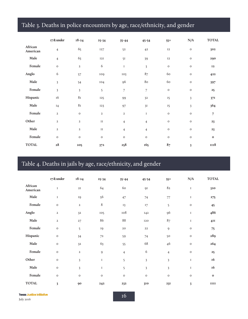## Table 3. Deaths in police encounters by age, race/ethnicity, and gender

|                     | 17 & under              | $18 - 24$               | $25 - 34$           | $35 - 44$                | 45-54                    | $55+$        | N/A                     | <b>TOTAL</b>             |
|---------------------|-------------------------|-------------------------|---------------------|--------------------------|--------------------------|--------------|-------------------------|--------------------------|
| African<br>American | $\overline{4}$          | 65                      | <b>127</b>          | 52                       | 42                       | <b>I2</b>    | $\mathsf{O}\xspace$     | 302                      |
| Male                | $\overline{4}$          | 63                      | I2I                 | 51                       | 39                       | <b>I2</b>    | $\circ$                 | 290                      |
| Female              | $\mathsf{o}$            | $\mathbf{2}$            | $\,$ 6 $\,$         | $\mathbf I$              | $\overline{\mathbf{3}}$  | $\mathsf O$  | $\mathbf O$             | <b>I2</b>                |
| Anglo               | $\sqrt{6}$              | 57                      | 109                 | 103                      | 87                       | 60           | $\mathbf O$             | 422                      |
| Male                | $\overline{\mathbf{3}}$ | 54                      | 104                 | 96                       | $8\mathrm{o}$            | 60           | $\mathsf{o}$            | 397                      |
| Female              | $\overline{\mathbf{3}}$ | $\overline{\mathbf{3}}$ | 5                   | $\overline{\phantom{a}}$ | $\overline{\phantom{a}}$ | $\mathsf O$  | $\mathsf{o}$            | 25                       |
| Hispanic            | 16                      | $8\mathrm{I}$           | 125                 | 99                       | 32                       | 15           | $\overline{\mathbf{3}}$ | 37I                      |
| Male                | I4                      | 8 <sub>I</sub>          | 123                 | 97                       | 3I                       | 15           | $\overline{\mathbf{3}}$ | 364                      |
| Female              | $\mathbf 2$             | $\mathsf O$             | $\mathbf 2$         | $\mathbf{2}$             | $\rm I$                  | $\mathsf O$  | $\mathbf O$             | $\overline{\phantom{a}}$ |
| Other               | $\mathbf{2}$            | $\mathbf{2}$            | $\rm II$            | $\overline{4}$           | $\overline{4}$           | $\mathsf O$  | $\circ$                 | 23                       |
| Male                | $\mathbf{2}$            | $\mathbf{2}$            | $\rm II$            | $\overline{4}$           | $\overline{4}$           | $\mathsf{O}$ | $\mathbf 0$             | 23                       |
| Female              | $\mathsf{o}$            | $\mathsf O$             | $\mathsf{O}\xspace$ | $\mathbf O$              | $\mathbf O$              | $\mathsf{o}$ | $\mathsf O$             | $\mathbf{o}$             |
| <b>TOTAL</b>        | 28                      | 205                     | 372                 | 258                      | 165                      | 87           | $\overline{\mathbf{3}}$ | III8                     |

## Table 4. Deaths in jails by age, race/ethnicity, and gender

|                     | 17 & under              | $18 - 24$               | $25 - 34$           | $35 - 44$      | $45 - 54$               | $55+$                   | N/A                     | <b>TOTAL</b> |
|---------------------|-------------------------|-------------------------|---------------------|----------------|-------------------------|-------------------------|-------------------------|--------------|
| African<br>American | $\mathbf I$             | 2I                      | 64                  | 60             | 9I                      | 82                      | $\mathbf I$             | 320          |
| Male                | $\mathbf I$             | 19                      | 56                  | 47             | 74                      | 77                      | $\mathbf I$             | 275          |
| Female              | $\mathbf O$             | $\mathbf{2}$            | $8\,$               | 13             | I7                      | 5                       | $\mathsf O$             | 45           |
| Anglo               | $\mathbf{2}$            | 32                      | 105                 | 108            | 142                     | 96                      | $\mathbf I$             | 486          |
| Male                | $\mathbf{2}$            | 27                      | 86                  | 88             | <b>I20</b>              | 87                      | $\mathbf I$             | 4II          |
| Female              | $\mathsf{o}$            | 5                       | 19                  | 20             | $22\,$                  | $\overline{9}$          | $\mathsf{o}$            | 75           |
| Hispanic            | $\mathbf O$             | 34                      | $7\mathbf{2}$       | 59             | 74                      | 50                      | $\mathsf{O}\xspace$     | 289          |
| Male                | $\mathbf O$             | 32                      | 63                  | 55             | 68                      | 46                      | $\mathsf{O}\xspace$     | 264          |
| Female              | $\mathbf O$             | $\mathbf{2}$            | $\overline{9}$      | $\overline{4}$ | $\boldsymbol{6}$        | $\overline{4}$          | $\mathsf{o}$            | 25           |
| Other               | $\mathsf O$             | $\overline{3}$          | $\rm I$             | 5              | $\overline{\mathbf{3}}$ | $\overline{3}$          | $\mathbf I$             | 16           |
| Male                | $\mathsf{o}$            | $\overline{\mathbf{3}}$ | $\mathbf I$         | 5              | $\overline{\mathbf{3}}$ | $\overline{\mathbf{3}}$ | $\mathbf I$             | <b>16</b>    |
| Female              | $\mathbf O$             | $\mathsf O$             | $\mathsf{o}\xspace$ | $\mathbf O$    | $\mathbf O$             | $\mathsf{o}$            | $\mathsf{o}$            | $\mathbf 0$  |
| <b>TOTAL</b>        | $\overline{\mathbf{3}}$ | 90                      | 242                 | 232            | 310                     | 23I                     | $\overline{\mathbf{3}}$ | IIII         |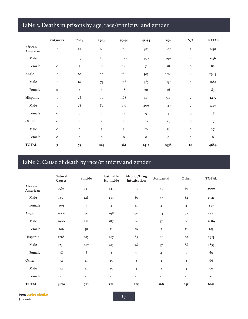## Table 5. Deaths in prisons by age, race/ethnicity, and gender

|                     | 17 & under              | $18 - 24$           | $25 - 34$               | $35 - 44$               | $45 - 54$      | $55+$          | N/A          | <b>TOTAL</b> |
|---------------------|-------------------------|---------------------|-------------------------|-------------------------|----------------|----------------|--------------|--------------|
| African<br>American | $\mathbf I$             | 27                  | 94                      | 224                     | 482            | 608            | $\mathbf{2}$ | 1438         |
| Male                | $\mathbf I$             | 25                  | $88\,$                  | 200                     | 450            | 590            | $\mathbf{2}$ | 1356         |
| Female              | $\mathbf O$             | $\mathbf{2}$        | 6                       | 24                      | 32             | $^{\rm I8}$    | $\mathbf O$  | $\bf 82$     |
| Anglo               | $\;$ I                  | 20                  | $8\mathrm{o}$           | 186                     | 505            | 1166           | 6            | 1964         |
| Male                | $\;$ I                  | 18                  | 73                      | 168                     | 485            | <b>II30</b>    | 6            | 1881         |
| Female              | $\mathsf{o}$            | $\mathbf 2$         | $\overline{7}$          | $^{\rm I8}$             | $20\,$         | 36             | $\rm{O}$     | 83           |
| Hispanic            | $\;$ I                  | 28                  | 90                      | 168                     | 415            | 551            | $\mathbf 2$  | <b>I255</b>  |
| Male                | $\mathbf I$             | 28                  | 87                      | 156                     | 406            | 547            | $\mathbf{2}$ | <b>I227</b>  |
| Female              | $\mathsf{o}$            | $\mathsf{O}\xspace$ | $\overline{\mathbf{3}}$ | <b>I2</b>               | $\overline{9}$ | $\overline{4}$ | $\mathbf O$  | $\bf{28}$    |
| Other               | $\mathsf{o}$            | $\mathsf O$         | $\mathbf I$             | $\overline{\mathbf{3}}$ | IO             | I <sub>3</sub> | $\mathsf O$  | $\bf{27}$    |
| Male                | $\mathsf{o}$            | $\mathbf O$         | $\rm I$                 | $\overline{\mathbf{3}}$ | IO             | I <sub>3</sub> | $\mathbf O$  | 27           |
| Female              | $\mathbf O$             | $\mathbf O$         | $\mathsf O$             | $\mathsf{O}\xspace$     | $\mathbf 0$    | $\mathsf{o}$   | $\mathbf O$  | $\mathbf 0$  |
| <b>TOTAL</b>        | $\overline{\mathbf{3}}$ | 75                  | 265                     | 58I                     | 1412           | 2338           | ${\bf IO}$   | 4684         |

## Table 6. Cause of death by race/ethnicity and gender

|                     | Natural<br>Causes | Suicide     | Justifiable<br>Homicide | Alcohol/Drug<br>Intoxication | Accidental               | Other                   | <b>TOTAL</b> |
|---------------------|-------------------|-------------|-------------------------|------------------------------|--------------------------|-------------------------|--------------|
| African<br>American | 1564              | 135         | 143                     | QI                           | 4I                       | 86                      | 2060         |
| Male                | 1455              | 128         | 139                     | $8\mathrm{o}$                | 37                       | 82                      | <b>1921</b>  |
| Female              | 109               | 7           | $\overline{4}$          | $\scriptstyle\rm II$         | $\overline{4}$           | $\overline{4}$          | 139          |
| Anglo               | 2006              | 4II         | 198                     | 96                           | 64                       | 97                      | 2872         |
| Male                | 1900              | 373         | 187                     | 86                           | 57                       | 86                      | 2689         |
| Female              | 106               | 38          | $\rm II$                | IO                           | $\overline{\phantom{a}}$ | $\rm II$                | 183          |
| Hispanic            | 1268              | 215         | 217                     | 85                           | 61                       | 69                      | 1915         |
| Male                | 1230              | 207         | 215                     | 78                           | 57                       | 68                      | 1855         |
| Female              | 38                | $\,8\,$     | $\mathbf 2$             | 7                            | $\overline{4}$           | $\rm I$                 | 60           |
| Other               | 32                | $\rm II$    | $_{15}$                 | 3                            | $\mathbf 2$              | $\overline{\mathbf{3}}$ | 66           |
| Male                | 32                | $\rm II$    | I5                      | $\overline{\mathbf{3}}$      | $\mathbf 2$              | $\overline{\mathbf{3}}$ | 66           |
| Female              | $\mathsf{o}$      | $\mathbf O$ | $\mathsf{o}$            | $\mathsf{o}$                 | $\mathsf{O}\xspace$      | $\mathbf O$             | $\mathbf 0$  |
| <b>TOTAL</b>        | 4870              | 772         | 573                     | 275                          | 168                      | 255                     | 6913         |

**Texas Justice Initiative**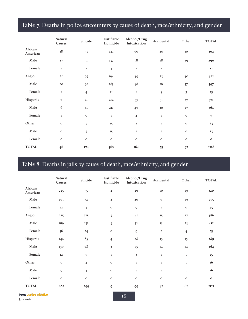## Table 7. Deaths in police encounters by cause of death, race/ethnicity, and gender

|                     | Natural<br>Causes        | Suicide             | Justifiable<br>Homicide | Alcohol/Drug<br>Intoxication | Accidental   | Other       | <b>TOTAL</b> |
|---------------------|--------------------------|---------------------|-------------------------|------------------------------|--------------|-------------|--------------|
| African<br>American | 18                       | 33                  | I4I                     | 60                           | 20           | 30          | 302          |
| Male                | $17\,$                   | 3I                  | 137                     | 58                           | 18           | 29          | 290          |
| Female              | $\mathbf I$              | $\mathbf{2}$        | $\overline{4}$          | $\mathbf{2}$                 | $\mathbf{2}$ | $\rm I$     | <b>I2</b>    |
| Anglo               | $2\,\mathrm{I}$          | 95                  | 194                     | 49                           | 23           | 40          | 422          |
| Male                | 20                       | <b>91</b>           | 183                     | 48                           | 18           | 37          | 397          |
| Female              | $\rm I$                  | $\overline{4}$      | $\rm II$                | $\mathbf I$                  | 5            | 3           | 25           |
| Hispanic            | $\overline{\mathcal{I}}$ | $4I$                | 2I2                     | 53                           | 3I           | 27          | 37I          |
| Male                | 6                        | $4I$                | 2II                     | 49                           | 30           | 27          | 364          |
| Female              | $\rm I$                  | $\mathsf{O}\xspace$ | $\;$ I                  | $\overline{4}$               | $\rm I$      | $\mathbf O$ | 7            |
| Other               | $\mathsf O$              | 5                   | 15                      | $\mathbf{2}$                 | $\rm I$      | $\mathbf O$ | 23           |
| Male                | $\mathsf{O}\xspace$      | 5                   | 15                      | $\mathbf{2}$                 | $\rm I$      | $\mathbf O$ | 23           |
| Female              | $\mathsf{O}\xspace$      | $\mathsf{o}$        | $\circ$                 | $\mathsf{o}$                 | $\mathbf O$  | $\mathbf O$ | $\mathbf 0$  |
| <b>TOTAL</b>        | 46                       | 174                 | 562                     | 164                          | 75           | 97          | <b>III8</b>  |

## Table 8. Deaths in jails by cause of death, race/ethnicity, and gender

|                     | Natural<br>Causes | Suicide                  | Justifiable<br>Homicide | Alcohol/Drug<br>Intoxication | Accidental       | Other          | <b>TOTAL</b> |
|---------------------|-------------------|--------------------------|-------------------------|------------------------------|------------------|----------------|--------------|
| African<br>American | 225               | 35                       | $\mathbf 2$             | 29                           | IO               | 19             | 320          |
| Male                | 193               | 32                       | $\mathbf 2$             | 20                           | $\boldsymbol{9}$ | 19             | 275          |
| Female              | 32                | $\overline{\mathbf{3}}$  | $\mathbf O$             | $\overline{9}$               | $\rm I$          | $\mathbf O$    | 45           |
| Anglo               | 225               | 175                      | 3                       | $4I$                         | 15               | 27             | 486          |
| Male                | 189               | <b>I5I</b>               | 3                       | 32                           | <b>I3</b>        | 23             | 4II          |
| Female              | 36                | 24                       | $\mathsf{o}$            | $\overline{9}$               | $\mathbf 2$      | $\overline{4}$ | 75           |
| Hispanic            | 142               | 8 <sub>5</sub>           | $\overline{4}$          | 28                           | $_{15}$          | $_{15}$        | 289          |
| Male                | 130               | 78                       | $\overline{\mathbf{3}}$ | 25                           | I4               | 14             | 264          |
| Female              | <b>I2</b>         | $\overline{\phantom{a}}$ | $\rm I$                 | $\overline{\mathbf{3}}$      | $\mathbf I$      | $\rm I$        | 25           |
| Other               | $\overline{9}$    | $\overline{4}$           | $\mathsf O$             | $\mathbf I$                  | $\mathbf I$      | $\rm I$        | 16           |
| Male                | $\overline{9}$    | $\overline{4}$           | $\mathbf O$             | $\rm I$                      | $\mathbf I$      | $\rm I$        | <b>16</b>    |
| Female              | $\mathbf O$       | $\mathsf{o}$             | $\mathsf{o}$            | $\mathbf O$                  | $\mathsf{o}$     | $\mathbf O$    | $\mathbf 0$  |
| <b>TOTAL</b>        | 601               | 299                      | $\boldsymbol{9}$        | 99                           | 4I               | 62             | IIII         |

**Texas Justice Initiative**